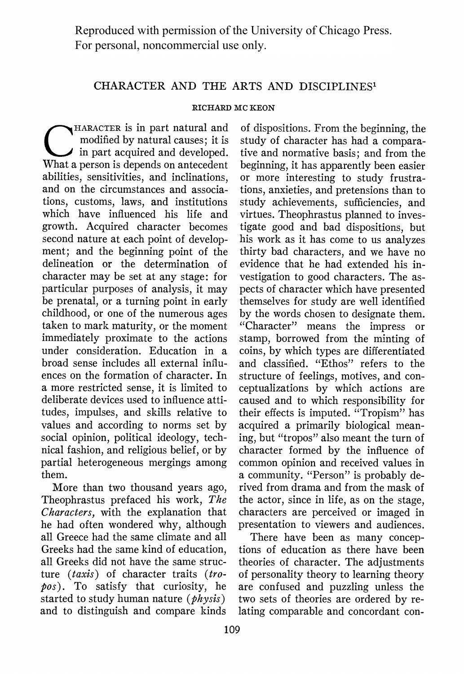Reproduced with permission of the University of Chicago Press. For personal, noncommercial use only.

## **CHARACTER AND THE ARTS AND DISCIPLINES'**

## **RICHARD MC KEON**

**<sup>C</sup>HARACTER iS in part natural and modified by natural causes; it is in part acquired and developed. What a person is depends on antecedent abilities, sensitivities, and inclinations, and on the circumstances and associations, customs, laws, and institutions which have influenced his life and growth. Acquired character becomes second nature at each point of development; and the beginning point of the delineation or the determination of character may be set at any stage: for particular purposes of analysis, it may be prenatal, or a turning point in early childhood, or one of the numerous ages taken to mark maturity, or the moment immediately proximate to the actions under consideration. Education in a broad sense includes all external influences on the formation of character. In a more restricted sense, it is limited to deliberate devices used to influence attitudes, impulses, and skills relative to values and according to norms set by social opinion, political ideology, technical fashion, and religious belief, or by partial heterogeneous mergings among them.** 

**More than two thousand years ago, Theophrastus prefaced his work, The Characters, with the explanation that he had often wondered why, although all Greece had the same climate and all Greeks had the same kind of education, all Greeks did not have the same structure (taxis) of character traits (tropos). To satisfy that curiosity, he started to study human nature (physis) and to distinguish and compare kinds** 

**of dispositions. From the beginning, the study of character has had a comparative and normative basis; and from the beginning, it has apparently been easier or more interesting to study frustrations, anxieties, and pretensions than to study achievements, sufficiencies, and virtues. Theophrastus planned to investigate good and bad dispositions, but his work as it has come to us analyzes thirty bad characters, and we have no evidence that he had extended his investigation to good characters. The aspects of character which have presented themselves for study are well identified by the words chosen to designate them. "Character" means the impress or stamp, borrowed from the minting of coins, by which types are differentiated and classified. "Ethos" refers to the structure of feelings, motives, and conceptualizations by which actions are caused and to which responsibility for their effects is imputed. "Tropism" has acquired a primarily biological meaning, but "tropos" also meant the turn of character formed by the influence of common opinion and received values in a community. "Person" is probably derived from drama and from the mask of the actor, since in life, as on the stage, characters are perceived or imaged in presentation to viewers and audiences.** 

**There have been as many conceptions of education as there have been theories of character. The adjustments of personality theory to learning theory are confused and puzzling unless the two sets of theories are ordered by relating comparable and concordant con-**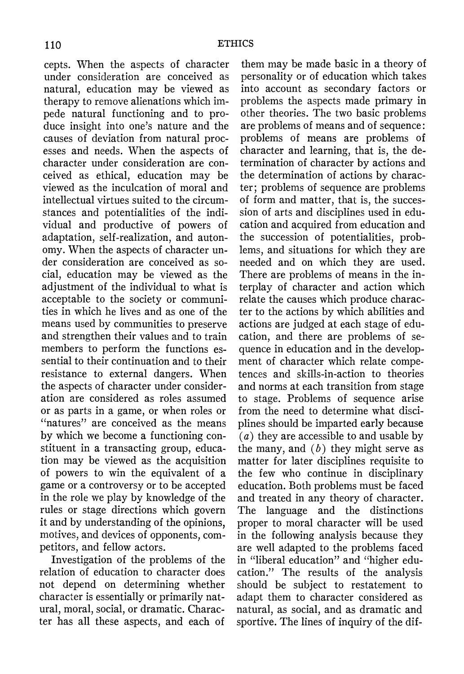**cepts. When the aspects of character under consideration are conceived as natural, education may be viewed as therapy to remove alienations which impede natural functioning and to produce insight into one's nature and the causes of deviation from natural processes and needs. When the aspects of character under consideration are conceived as ethical, education may be viewed as the inculcation of moral and intellectual virtues suited to the circumstances and potentialities of the individual and productive of powers of adaptation, self-realization, and autonomy. When the aspects of character under consideration are conceived as social, education may be viewed as the adjustment of the individual to what is acceptable to the society or communities in which he lives and as one of the means used by communities to preserve and strengthen their values and to train members to perform the functions essential to their continuation and to their resistance to external dangers. When the aspects of character under consideration are considered as roles assumed or as parts in a game, or when roles or "natures" are conceived as the means by which we become a functioning constituent in a transacting group, education may be viewed as the acquisition of powers to win the equivalent of a game or a controversy or to be accepted in the role we play by knowledge of the rules or stage directions which govern it and by understanding of the opinions, motives, and devices of opponents, competitors, and fellow actors.** 

**Investigation of the problems of the relation of education to character does not depend on determining whether character is essentially or primarily natural, moral, social, or dramatic. Character has all these aspects, and each of** 

**them may be made basic in a theory of personality or of education which takes into account as secondary factors or problems the aspects made primary in other theories. The two basic problems are problems of means and of sequence: problems of means are problems of character and learning, that is, the determination of character by actions and the determination of actions by character; problems of sequence are problems of form and matter, that is, the succession of arts and disciplines used in education and acquired from education and the succession of potentialities, problems, and situations for which they are needed and on which they are used. There are problems of means in the interplay of character and action which relate the causes which produce character to the actions by which abilities and actions are judged at each stage of education, and there are problems of sequence in education and in the development of character which relate competences and skills-in-action to theories and norms at each transition from stage to stage. Problems of sequence arise from the need to determine what disciplines should be imparted early because (a) they are accessible to and usable by the many, and (b) they might serve as matter for later disciplines requisite to the few who continue in disciplinary education. Both problems must be faced and treated in any theory of character. The language and the distinctions proper to moral character will be used in the following analysis because they are well adapted to the problems faced in "liberal education" and "higher education." The results of the analysis should be subject to restatement to adapt them to character considered as natural, as social, and as dramatic and sportive. The lines of inquiry of the dif-**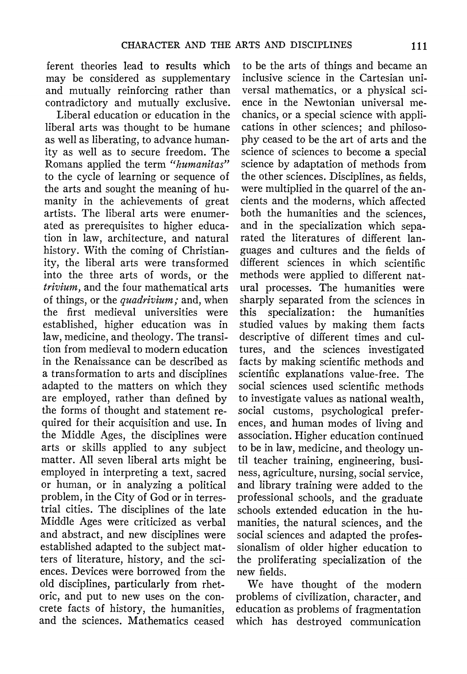**ferent theories lead to results which may be considered as supplementary and mutually reinforcing rather than contradictory and mutually exclusive.** 

**Liberal education or education in the liberal arts was thought to be humane as well as liberating, to advance humanity as well as to secure freedom. The**  Romans applied the term "humanitas" **to the cycle of learning or sequence of the arts and sought the meaning of humanity in the achievements of great artists. The liberal arts were enumerated as prerequisites to higher education in law, architecture, and natural history. With the coming of Christianity, the liberal arts were transformed into the three arts of words, or the trivium, and the four mathematical arts of things, or the quadrivium; and, when the first medieval universities were established, higher education was in law, medicine, and theology. The transition from medieval to modern education in the Renaissance can be described as a transformation to arts and disciplines adapted to the matters on which they are employed, rather than defined by the forms of thought and statement required for their acquisition and use. In the Middle Ages, the disciplines were arts or skills applied to any subject matter. All seven liberal arts might be employed in interpreting a text, sacred or human, or in analyzing a political problem, in the City of God or in terrestrial cities. The disciplines of the late Middle Ages were criticized as verbal and abstract, and new disciplines were established adapted to the subject matters of literature, history, and the sciences. Devices were borrowed from the old disciplines, particularly from rhetoric, and put to new uses on the concrete facts of history, the humanities, and the sciences. Mathematics ceased** 

**to be the arts of things and became an inclusive science in the Cartesian universal mathematics, or a physical science in the Newtonian universal mechanics, or a special science with applications in other sciences; and philosophy ceased to be the art of arts and the science of sciences to become a special science by adaptation of methods from the other sciences. Disciplines, as fields, were multiplied in the quarrel of the ancients and the moderns, which affected both the humanities and the sciences, and in the specialization which separated the literatures of different languages and cultures and the fields of different sciences in which scientific methods were applied to different natural processes. The humanities were sharply separated from the sciences in**  specialization: the humanities **studied values by making them facts descriptive of different times and cultures, and the sciences investigated facts by making scientific methods and scientific explanations value-free. The social sciences used scientific methods to investigate values as national wealth, social customs, psychological preferences, and human modes of living and association. Higher education continued to be in law, medicine, and theology until teacher training, engineering, business, agriculture, nursing, social service, and library training were added to the professional schools, and the graduate schools extended education in the humanities, the natural sciences, and the social sciences and adapted the professionalism of older higher education to the proliferating specialization of the new fields.** 

**We have thought of the modern problems of civilization, character, and education as problems of fragmentation which has destroyed communication**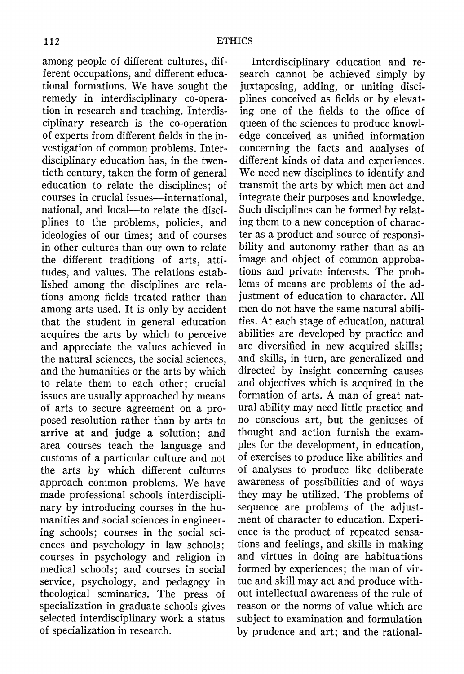**among people of different cultures, different occupations, and different educational formations. We have sought the remedy in interdisciplinary co-operation in research and teaching. Interdisciplinary research is the co-operation of experts from different fields in the investigation of common problems. Interdisciplinary education has, in the twentieth century, taken the form of general education to relate the disciplines; of courses in crucial issues-international,**  national, and local—to relate the disci**plines to the problems, policies, and ideologies of our times; and of courses in other cultures than our own to relate the different traditions of arts, attitudes, and values. The relations established among the disciplines are relations among fields treated rather than among arts used. It is only by accident that the student in general education acquires the arts by which to perceive and appreciate the values achieved in the natural sciences, the social sciences, and the humanities or the arts by which to relate them to each other; crucial issues are usually approached by means of arts to secure agreement on a proposed resolution rather than by arts to arrive at and judge a solution; and area courses teach the language and customs of a particular culture and not the arts by which different cultures approach common problems. We have made professional schools interdisciplinary by introducing courses in the humanities and social sciences in engineering schools; courses in the social sciences and psychology in law schools; courses in psychology and religion in medical schools; and courses in social service, psychology, and pedagogy in theological seminaries. The press of specialization in graduate schools gives selected interdisciplinary work a status of specialization in research.** 

**Interdisciplinary education and research cannot be achieved simply by juxtaposing, adding, or uniting disciplines conceived as fields or by elevating one of the fields to the office of queen of the sciences to produce knowledge conceived as unified information concerning the facts and analyses of different kinds of data and experiences. We need new disciplines to identify and transmit the arts by which men act and integrate their purposes and knowledge. Such disciplines can be formed by relating them to a new conception of character as a product and source of responsibility and autonomy rather than as an image and object of common approbations and private interests. The problems of means are problems of the adjustment of education to character. All men do not have the same natural abilities. At each stage of education, natural abilities are developed by practice and are diversified in new acquired skills; and skills, in turn, are generalized and directed by insight concerning causes and objectives which is acquired in the formation of arts. A man of great natural ability may need little practice and no conscious art, but the geniuses of thought and action furnish the examples for the development, in education, of exercises to produce like abilities and of analyses to produce like deliberate awareness of possibilities and of ways they may be utilized. The problems of sequence are problems of the adjustment of character to education. Experience is the product of repeated sensations and feelings, and skills in making and virtues in doing are habituations formed by experiences; the man of virtue and skill may act and produce without intellectual awareness of the rule of reason or the norms of value which are subject to examination and formulation by prudence and art; and the rational-**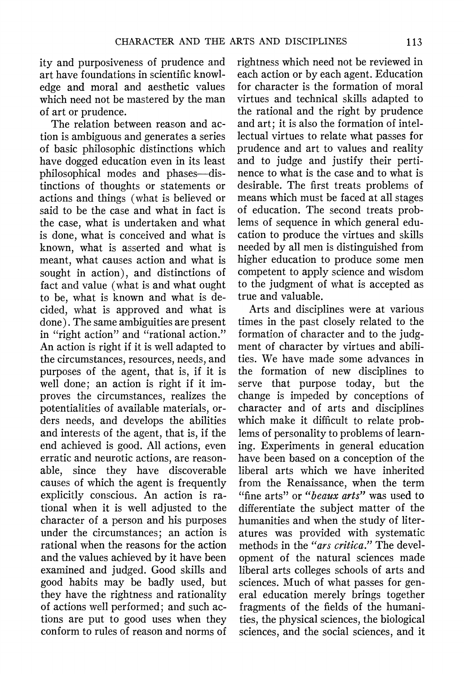**ity and purposiveness of prudence and art have foundations in scientific knowledge and moral and aesthetic values which need not be mastered by the man of art or prudence.** 

**The relation between reason and action is ambiguous and generates a series of basic philosophic distinctions which have dogged education even in its least philosophical modes and phases-distinctions of thoughts or statements or actions and things (what is believed or said to be the case and what in fact is the case, what is undertaken and what is done, what is conceived and what is known, what is asserted and what is meant, what causes action and what is sought in action), and distinctions of fact and value (what is and what ought to be, what is known and what is decided, what is approved and what is done). The same ambiguities are present in "right action" and "rational action." An action is right if it is well adapted to the circumstances, resources, needs, and purposes of the agent, that is, if it is well done; an action is right if it improves the circumstances, realizes the potentialities of available materials, orders needs, and develops the abilities and interests of the agent, that is, if the end achieved is good. All actions, even erratic and neurotic actions, are reasonable, since they have discoverable causes of which the agent is frequently explicitly conscious. An action is rational when it is well adjusted to the character of a person and his purposes under the circumstances; an action is rational when the reasons for the action and the values achieved by it have been examined and judged. Good skills and good habits may be badly used, but they have the rightness and rationality of actions well performed; and such actions are put to good uses when they conform to rules of reason and norms of**  **rightness which need not be reviewed in each action or by each agent. Education for character is the formation of moral virtues and technical skills adapted to the rational and the right by prudence and art; it is also the formation of intellectual virtues to relate what passes for prudence and art to values and reality and to judge and justify their pertinence to what is the case and to what is desirable. The first treats problems of means which must be faced at all stages of education. The second treats problems of sequence in which general education to produce the virtues and skills needed by all men is distinguished from higher education to produce some men competent to apply science and wisdom to the judgment of what is accepted as true and valuable.** 

**Arts and disciplines were at various times in the past closely related to the formation of character and to the judgment of character by virtues and abilities. We have made some advances in the formation of new disciplines to serve that purpose today, but the change is impeded by conceptions of character and of arts and disciplines which make it difficult to relate problems of personality to problems of learning. Experiments in general education have been based on a conception of the liberal arts which we have inherited from the Renaissance, when the term "fine arts" or "beaux arts" was used to differentiate the subject matter of the humanities and when the study of literatures was provided with systematic methods in the "ars critica." The development of the natural sciences made liberal arts colleges schools of arts and sciences. Much of what passes for general education merely brings together fragments of the fields of the humanities, the physical sciences, the biological sciences, and the social sciences, and it**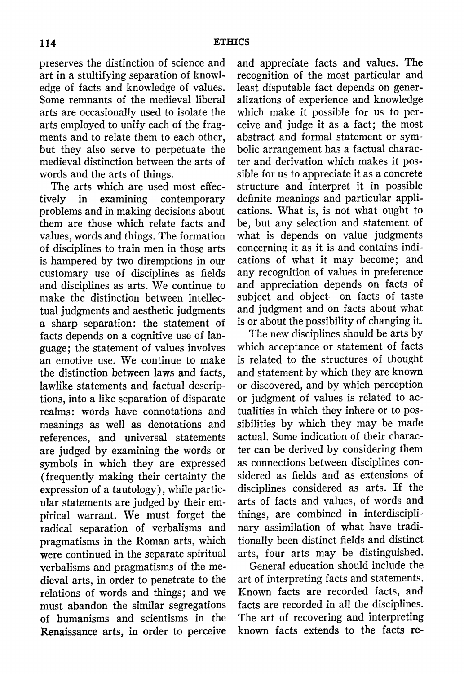**preserves the distinction of science and art in a stultifying separation of knowledge of facts and knowledge of values. Some remnants of the medieval liberal arts are occasionally used to isolate the arts employed to unify each of the fragments and to relate them to each other, but they also serve to perpetuate the medieval distinction between the arts of words and the arts of things.** 

**The arts which are used most effectively in examining contemporary problems and in making decisions about them are those which relate facts and values, words and things. The formation of disciplines to train men in those arts is hampered by two diremptions in our customary use of disciplines as fields and disciplines as arts. We continue to make the distinction between intellectual judgments and aesthetic judgments a sharp separation: the statement of facts depends on a cognitive use of language; the statement of values involves an emotive use. We continue to make the distinction between laws and facts, lawlike statements and factual descriptions, into a like separation of disparate realms: words have connotations and meanings as well as denotations and references, and universal statements are judged by examining the words or symbols in which they are expressed (frequently making their certainty the expression of a tautology), while particular statements are judged by their empirical warrant. We must forget the radical separation of verbalisms and pragmatisms in the Roman arts, which were continued in the separate spiritual verbalisms and pragmatisms of the medieval arts, in order to penetrate to the relations of words and things; and we must abandon the similar segregations of humanisms and scientisms in the Renaissance arts, in order to perceive** 

**and appreciate facts and values. The recognition of the most particular and least disputable fact depends on generalizations of experience and knowledge which make it possible for us to perceive and judge it as a fact; the most abstract and formal statement or symbolic arrangement has a factual character and derivation which makes it possible for us to appreciate it as a concrete structure and interpret it in possible definite meanings and particular applications. What is, is not what ought to be, but any selection and statement of what is depends on value judgments concerning it as it is and contains indications of what it may become; and any recognition of values in preference and appreciation depends on facts of subject and object-on facts of taste and judgment and on facts about what is or about the possibility of changing it.** 

**The new disciplines should be arts by which acceptance or statement of facts is related to the structures of thought and statement by which they are known or discovered, and by which perception or judgment of values is related to actualities in which they inhere or to possibilities by which they may be made actual. Some indication of their character can be derived by considering them as connections between disciplines considered as fields and as extensions of disciplines considered as arts. If the arts of facts and values, of words and things, are combined in interdisciplinary assimilation of what have traditionally been distinct fields and distinct arts, four arts may be distinguished.** 

**General education should include the art of interpreting facts and statements. Known facts are recorded facts, and facts are recorded in all the disciplines. The art of recovering and interpreting known facts extends to the facts re-**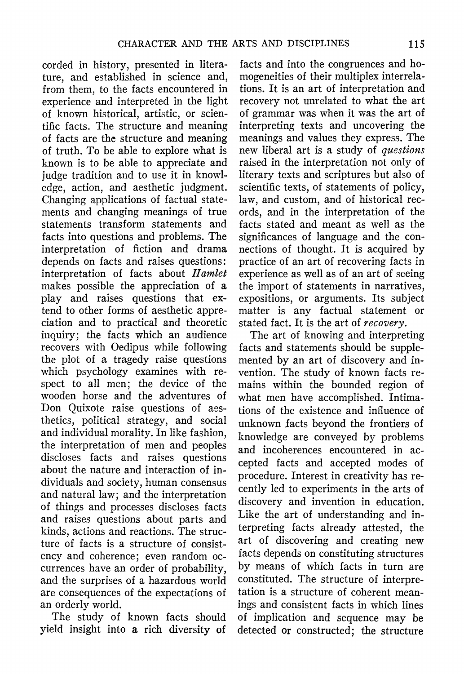**corded in history, presented in literature, and established in science and, from them, to the facts encountered in experience and interpreted in the light of known historical, artistic, or scientific facts. The structure and meaning of facts are the structure and meaning of truth. To be able to explore what is known is to be able to appreciate and judge tradition and to use it in knowledge, action, and aesthetic judgment. Changing applications of factual statements and changing meanings of true statements transform statements and facts into questions and problems. The interpretation of fiction and drama depends on facts and raises questions: interpretation of facts about Hamlet makes possible the appreciation of a play and raises questions that extend to other forms of aesthetic appreciation and to practical and theoretic inquiry; the facts which an audience recovers with Oedipus while following the plot of a tragedy raise questions which psychology examines with respect to all men; the device of the wooden horse and the adventures of Don Quixote raise questions of aesthetics, political strategy, and social and individual morality. In like fashion, the interpretation of men and peoples discloses facts and raises questions about the nature and interaction of individuals and society, human consensus and natural law; and the interpretation of things and processes discloses facts and raises questions about parts and kinds, actions and reactions. The structure of facts is a structure of consistency and coherence; even random occurrences have an order of probability, and the surprises of a hazardous world are consequences of the expectations of an orderly world.** 

**The study of known facts should yield insight into a rich diversity of** 

**facts and into the congruences and homogeneities of their multiplex interrelations. It is an art of interpretation and recovery not unrelated to what the art of grammar was when it was the art of interpreting texts and uncovering the meanings and values they express. The new liberal art is a study of questions raised in the interpretation not only of literary texts and scriptures but also of scientific texts, of statements of policy, law, and custom, and of historical records, and in the interpretation of the facts stated and meant as well as the significances of language and the connections of thought. It is acquired by practice of an art of recovering facts in experience as well as of an art of seeing the import of statements in narratives, expositions, or arguments. Its subject matter is any factual statement or stated fact. It is the art of recovery.** 

**The art of knowing and interpreting facts and statements should be supplemented by an art of discovery and invention. The study of known facts remains within the bounded region of what men have accomplished. Intimations of the existence and influence of unknown facts beyond the frontiers of knowledge are conveyed by problems and incoherences encountered in accepted facts and accepted modes of procedure. Interest in creativity has recently led to experiments in the arts of discovery and invention in education. Like the art of understanding and interpreting facts already attested, the art of discovering and creating new facts depends on constituting structures by means of which facts in turn are constituted. The structure of interpretation is a structure of coherent meanings and consistent facts in which lines of implication and sequence may be detected or constructed; the structure**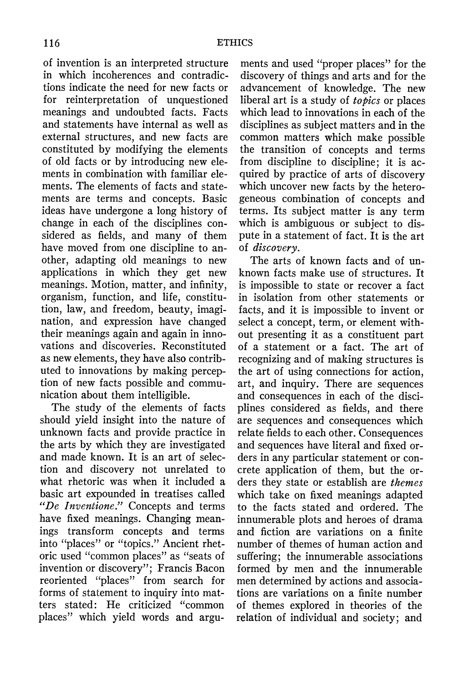**of invention is an interpreted structure in which incoherences and contradictions indicate the need for new facts or for reinterpretation of unquestioned meanings and undoubted facts. Facts and statements have internal as well as external structures, and new facts are constituted by modifying the elements of old facts or by introducing new elements in combination with familiar elements. The elements of facts and statements are terms and concepts. Basic ideas have undergone a long history of change in each of the disciplines considered as fields, and many of them have moved from one discipline to another, adapting old meanings to new applications in which they get new meanings. Motion, matter, and infinity, organism, function, and life, constitution, law, and freedom, beauty, imagination, and expression have changed their meanings again and again in innovations and discoveries. Reconstituted as new elements, they have also contributed to innovations by making perception of new facts possible and communication about them intelligible.** 

**The study of the elements of facts should yield insight into the nature of unknown facts and provide practice in the arts by which they are investigated and made known. It is an art of selection and discovery not unrelated to what rhetoric was when it included a basic art expounded in treatises called "De Inventione." Concepts and terms have fixed meanings. Changing meanings transform concepts and terms into "places" or "topics." Ancient rhetoric used "common places" as "seats of invention or discovery"; Francis Bacon reoriented "places" from search for forms of statement to inquiry into matters stated: He criticized "common places" which yield words and argu-**

**ments and used "proper places" for the discovery of things and arts and for the advancement of knowledge. The new liberal art is a study of topics or places which lead to innovations in each of the disciplines as subject matters and in the common matters which make possible the transition of concepts and terms from discipline to discipline; it is acquired by practice of arts of discovery which uncover new facts by the heterogeneous combination of concepts and terms. Its subject matter is any term which is ambiguous or subject to dispute in a statement of fact. It is the art of discovery.** 

**The arts of known facts and of unknown facts make use of structures. It is impossible to state or recover a fact in isolation from other statements or facts, and it is impossible to invent or select a concept, term, or element without presenting it as a constituent part of a statement or a fact. The art of recognizing and of making structures is the art of using connections for action, art, and inquiry. There are sequences and consequences in each of the disciplines considered as fields, and there are sequences and consequences which relate fields to each other. Consequences and sequences have literal and fixed orders in any particular statement or concrete application of them, but the orders they state or establish are themes which take on fixed meanings adapted to the facts stated and ordered. The innumerable plots and heroes of drama and fiction are variations on a finite number of themes of human action and suffering; the innumerable associations formed by men and the innumerable men determined by actions and associations are variations on a finite number of themes explored in theories of the relation of individual and society; and**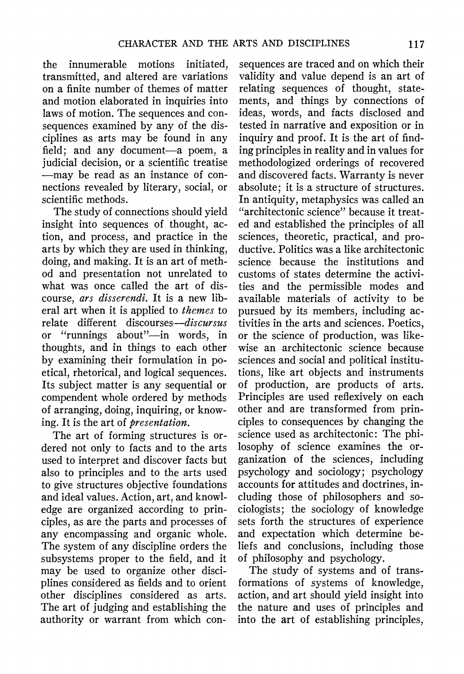**the innumerable motions initiated, transmitted, and altered are variations on a finite number of themes of matter and motion elaborated in inquiries into laws of motion. The sequences and consequences examined by any of the disciplines as arts may be found in any**  field; and any document-a poem, a **judicial decision, or a scientific treatise may be read as an instance of connections revealed by literary, social, or scientific methods.** 

**The study of connections should yield insight into sequences of thought, action, and process, and practice in the arts by which they are used in thinking, doing, and making. It is an art of method and presentation not unrelated to what was once called the art of discourse, ars disserendi. It is a new liberal art when it is applied to themes to relate different discourses-discursus**  or "runnings about"-in words, in **thoughts, and in things to each other by examining their formulation in poetical, rhetorical, and logical sequences. Its subject matter is any sequential or compendent whole ordered by methods of arranging, doing, inquiring, or knowing. It is the art of presentation.** 

**The art of forming structures is ordered not only to facts and to the arts used to interpret and discover facts but also to principles and to the arts used to give structures objective foundations and ideal values. Action, art, and knowledge are organized according to principles, as are the parts and processes of any encompassing and organic whole. The system of any discipline orders the subsystems proper to the field, and it may be used to organize other disciplines considered as fields and to orient other disciplines considered as arts. The art of judging and establishing the authority or warrant from which con-**

**sequences are traced and on which their validity and value depend is an art of relating sequences of thought, statements, and things by connections of ideas, words, and facts disclosed and tested in narrative and exposition or in inquiry and proof. It is the art of finding principles in reality and in values for methodologized orderings of recovered and discovered facts. Warranty is never absolute; it is a structure of structures. In antiquity, metaphysics was called an "architectonic science" because it treated and established the principles of all sciences, theoretic, practical, and productive. Politics was a like architectonic science because the institutions and customs of states determine the activities and the permissible modes and available materials of activity to be pursued by its members, including activities in the arts and sciences. Poetics, or the science of production, was likewise an architectonic science because sciences and social and political institutions, like art objects and instruments of production, are products of arts. Principles are used reflexively on each other and are transformed from principles to consequences by changing the science used as architectonic: The philosophy of science examines the organization of the sciences, including psychology and sociology; psychology accounts for attitudes and doctrines, including those of philosophers and sociologists; the sociology of knowledge sets forth the structures of experience and expectation which determine beliefs and conclusions, including those of philosophy and psychology.** 

**The study of systems and of transformations of systems of knowledge, action, and art should yield insight into the nature and uses of principles and into the art of establishing principles,**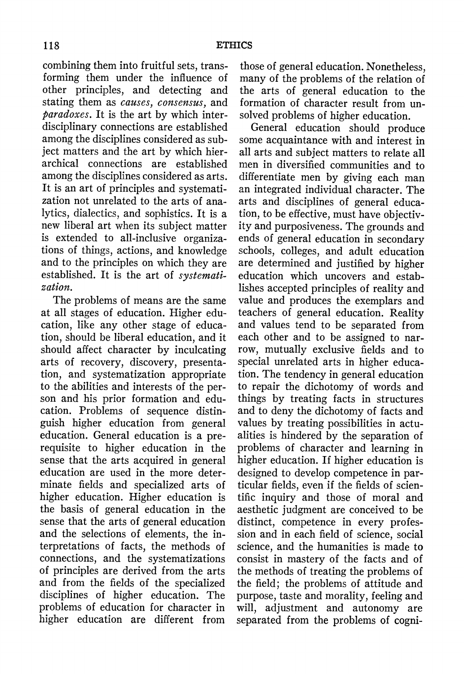**combining them into fruitful sets, transforming them under the influence of other principles, and detecting and stating them as causes, consensus, and paradoxes. It is the art by which interdisciplinary connections are established among the disciplines considered as subject matters and the art by which hierarchical connections are established among the disciplines considered as arts. It is an art of principles and systematization not unrelated to the arts of analytics, dialectics, and sophistics. It is a new liberal art when its subject matter is extended to all-inclusive organizations of things, actions, and knowledge and to the principles on which they are established. It is the art of systematization.** 

**The problems of means are the same at all stages of education. Higher education, like any other stage of education, should be liberal education, and it should affect character by inculcating arts of recovery, discovery, presentation, and systematization appropriate to the abilities and interests of the person and his prior formation and education. Problems of sequence distinguish higher education from general education. General education is a prerequisite to higher education in the sense that the arts acquired in general education are used in the more determinate fields and specialized arts of higher education. Higher education is the basis of general education in the sense that the arts of general education and the selections of elements, the interpretations of facts, the methods of connections, and the systematizations of principles are derived from the arts and from the fields of the specialized disciplines of higher education. The problems of education for character in higher education are different from** 

**those of general education. Nonetheless, many of the problems of the relation of the arts of general education to the formation of character result from unsolved problems of higher education.** 

**General education should produce some acquaintance with and interest in all arts and subject matters to relate all men in diversified communities and to differentiate men by giving each man an integrated individual character. The arts and disciplines of general education, to be effective, must have objectivity and purposiveness. The grounds and ends of general education in secondary schools, colleges, and adult education are determined and justified by higher education which uncovers and establishes accepted principles of reality and value and produces the exemplars and teachers of general education. Reality and values tend to be separated from each other and to be assigned to narrow, mutually exclusive fields and to special unrelated arts in higher education. The tendency in general education to repair the dichotomy of words and things by treating facts in structures and to deny the dichotomy of facts and values by treating possibilities in actualities is hindered by the separation of problems of character and learning in higher education. If higher education is designed to develop competence in particular fields, even if the fields of scientific inquiry and those of moral and aesthetic judgment are conceived to be distinct, competence in every profession and in each field of science, social science, and the humanities is made to consist in mastery of the facts and of the methods of treating the problems of the field; the problems of attitude and purpose, taste and morality, feeling and will, adjustment and autonomy are separated from the problems of cogni-**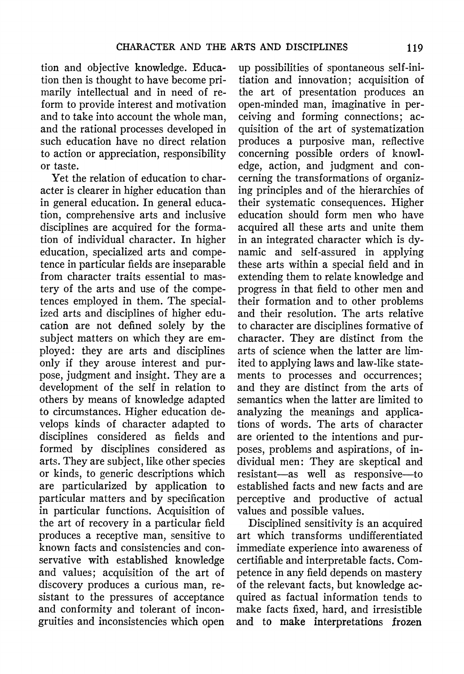**tion and objective knowledge. Education then is thought to have become primarily intellectual and in need of reform to provide interest and motivation and to take into account the whole man, and the rational processes developed in such education have no direct relation to action or appreciation, responsibility or taste.** 

**Yet the relation of education to character is clearer in higher education than in general education. In general education, comprehensive arts and inclusive disciplines are acquired for the formation of individual character. In higher education, specialized arts and competence in particular fields are inseparable from character traits essential to mastery of the arts and use of the competences employed in them. The specialized arts and disciplines of higher education are not defined solely by the subject matters on which they are employed: they are arts and disciplines only if they arouse interest and purpose, judgment and insight. They are a development of the self in relation to others by means of knowledge adapted to circumstances. Higher education develops kinds of character adapted to disciplines considered as fields and formed by disciplines considered as arts. They are subject, like other species or kinds, to generic descriptions which are particularized by application to particular matters and by specification in particular functions. Acquisition of the art of recovery in a particular field produces a receptive man, sensitive to known facts and consistencies and conservative with established knowledge and values; acquisition of the art of discovery produces a curious man, resistant to the pressures of acceptance and conformity and tolerant of incongruities and inconsistencies which open** 

**up possibilities of spontaneous self-initiation and innovation; acquisition of the art of presentation produces an open-minded man, imaginative in perceiving and forming connections; acquisition of the art of systematization produces a purposive man, reflective concerning possible orders of knowledge, action, and judgment and concerning the transformations of organizing principles and of the hierarchies of their systematic consequences. Higher education should form men who have acquired all these arts and unite them in an integrated character which is dynamic and self-assured in applying these arts within a special field and in extending them to relate knowledge and progress in that field to other men and their formation and to other problems and their resolution. The arts relative to character are disciplines formative of character. They are distinct from the arts of science when the latter are limited to applying laws and law-like statements to processes and occurrences; and they are distinct from the arts of semantics when the latter are limited to analyzing the meanings and applications of words. The arts of character are oriented to the intentions and purposes, problems and aspirations, of individual men: They are skeptical and resistant-as well as responsive-to established facts and new facts and are perceptive and productive of actual values and possible values.** 

**Disciplined sensitivity is an acquired art which transforms undifferentiated immediate experience into awareness of certifiable and interpretable facts. Competence in any field depends on mastery of the relevant facts, but knowledge acquired as factual information tends to make facts fixed, hard, and irresistible and to make interpretations frozen**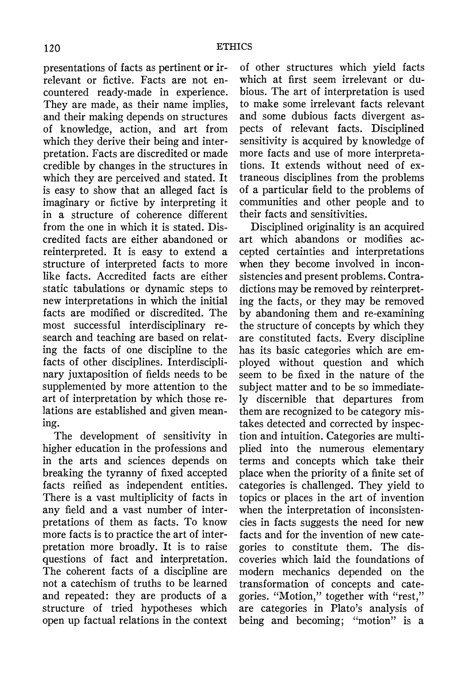**presentations of facts as pertinent or irrelevant or fictive. Facts are not encountered ready-made in experience. They are made, as their name implies, and their making depends on structures of knowledge, action, and art from which they derive their being and interpretation. Facts are discredited or made credible by changes in the structures in which they are perceived and stated. It is easy to show that an alleged fact is imaginary or fictive by interpreting it in a structure of coherence different from the one in which it is stated. Discredited facts are either abandoned or reinterpreted. It is easy to extend a structure of interpreted facts to more like facts. Accredited facts are either static tabulations or dynamic steps to new interpretations in which the initial facts are modified or discredited. The most successful interdisciplinary research and teaching are based on relating the facts of one discipline to the facts of other disciplines. Interdisciplinary juxtaposition of fields needs to be supplemented by more attention to the art of interpretation by which those relations are established and given meaning.** 

**The development of sensitivity in higher education in the professions and in the arts and sciences depends on breaking the tyranny of fixed accepted facts reified as independent entities. There is a vast multiplicity of facts in any field and a vast number of interpretations of them as facts. To know more facts is to practice the art of interpretation more broadly. It is to raise questions of fact and interpretation. The coherent facts of a discipline are not a catechism of truths to be learned and repeated: they are products of a structure of tried hypotheses which open up factual relations in the context**  **of other structures which yield facts which at first seem irrelevant or dubious. The art of interpretation is used to make some irrelevant facts relevant and some dubious facts divergent aspects of relevant facts. Disciplined sensitivity is acquired by knowledge of more facts and use of more interpretations. It extends without need of extraneous disciplines from the problems of a particular field to the problems of communities and other people and to their facts and sensitivities.** 

**Disciplined originality is an acquired art which abandons or modifies accepted certainties and interpretations when they become involved in inconsistencies and present problems. Contradictions may be removed by reinterpreting the facts, or they may be removed by abandoning them and re-examining the structure of concepts by which they are constituted facts. Every discipline has its basic categories which are employed without question and which seem to be fixed in the nature of the subject matter and to be so immediately discernible that departures from them are recognized to be category mistakes detected and corrected by inspection and intuition. Categories are multiplied into the numerous elementary terms and concepts which take their place when the priority of a finite set of categories is challenged. They yield to topics or places in the art of invention when the interpretation of inconsistencies in facts suggests the need for new facts and for the invention of new categories to constitute them. The discoveries which laid the foundations of modern mechanics depended on the transformation of concepts and categories. "Motion," together with "rest," are categories in Plato's analysis of being and becoming; "motion" is a**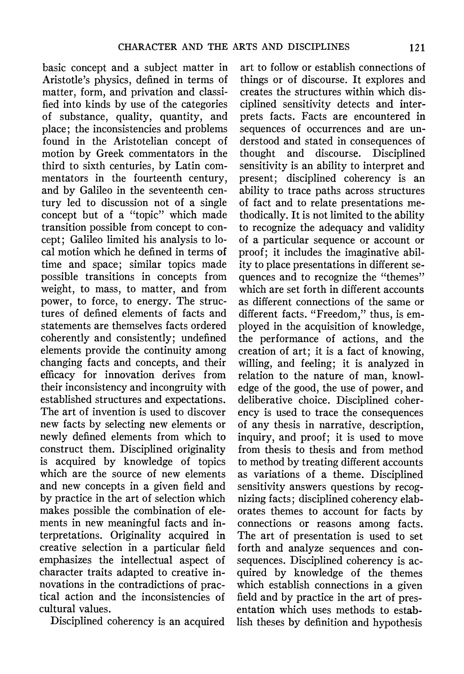**basic concept and a subject matter in Aristotle's physics, defined in terms of matter, form, and privation and classified into kinds by use of the categories of substance, quality, quantity, and place; the inconsistencies and problems found in the Aristotelian concept of motion by Greek commentators in the third to sixth centuries, by Latin commentators in the fourteenth century, and by Galileo in the seventeenth century led to discussion not of a single concept but of a "topic" which made transition possible from concept to concept; Galileo limited his analysis to local motion which he defined in terms of time and space; similar topics made possible transitions in concepts from weight, to mass, to matter, and from power, to force, to energy. The structures of defined elements of facts and statements are themselves facts ordered coherently and consistently; undefined elements provide the continuity among changing facts and concepts, and their efficacy for innovation derives from their inconsistency and incongruity with established structures and expectations. The art of invention is used to discover new facts by selecting new elements or newly defined elements from which to construct them. Disciplined originality is acquired by knowledge of topics which are the source of new elements and new concepts in a given field and by practice in the art of selection which makes possible the combination of elements in new meaningful facts and interpretations. Originality acquired in creative selection in a particular field emphasizes the intellectual aspect of character traits adapted to creative innovations in the contradictions of practical action and the inconsistencies of cultural values.** 

**Disciplined coherency is an acquired** 

**art to follow or establish connections of things or of discourse. It explores and creates the structures within which disciplined sensitivity detects and interprets facts. Facts are encountered in sequences of occurrences and are understood and stated in consequences of thought and discourse. Disciplined sensitivity is an ability to interpret and present; disciplined coherency is an ability to trace paths across structures of fact and to relate presentations methodically. It is not limited to the ability to recognize the adequacy and validity of a particular sequence or account or proof; it includes the imaginative ability to place presentations in different sequences and to recognize the "themes" which are set forth in different accounts as different connections of the same or different facts. "Freedom," thus, is employed in the acquisition of knowledge, the performance of actions, and the creation of art; it is a fact of knowing, willing, and feeling; it is analyzed in relation to the nature of man, knowledge of the good, the use of power, and deliberative choice. Disciplined coherency is used to trace the consequences of any thesis in narrative, description, inquiry, and proof; it is used to move from thesis to thesis and from method to method by treating different accounts as variations of a theme. Disciplined sensitivity answers questions by recognizing facts; disciplined coherency elaborates themes to account for facts by connections or reasons among facts. The art of presentation is used to set forth and analyze sequences and consequences. Disciplined coherency is acquired by knowledge of the themes which establish connections in a given field and by practice in the art of presentation which uses methods to establish theses by definition and hypothesis**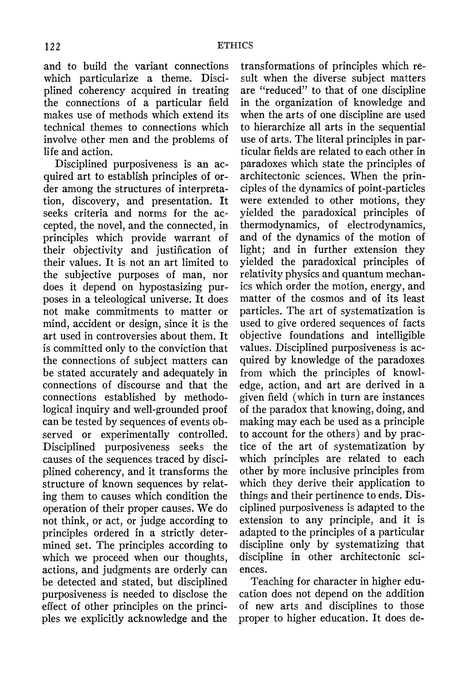**and to build the variant connections which particularize a theme. Disciplined coherency acquired in treating the connections of a particular field makes use of methods which extend its technical themes to connections which involve other men and the problems of life and action.** 

**Disciplined purposiveness is an acquired art to establish principles of order among the structures of interpretation, discovery, and presentation. It seeks criteria and norms for the accepted, the novel, and the connected, in principles which provide warrant of their objectivity and justification of their values. It is not an art limited to the subjective purposes of man, nor does it depend on hypostasizing purposes in a teleological universe. It does not make commitments to matter or mind, accident or design, since it is the art used in controversies about them. It is committed only to the conviction that the connections of subject matters can be stated accurately and adequately in connections of discourse and that the connections established by methodological inquiry and well-grounded proof can be tested by sequences of events observed or experimentally controlled. Disciplined purposiveness seeks the causes of the sequences traced by disciplined coherency, and it transforms the structure of known sequences by relating them to causes which condition the operation of their proper causes. We do not think, or act, or judge according to principles ordered in a strictly determined set. The principles according to which we proceed when our thoughts, actions, and judgments are orderly can be detected and stated, but disciplined purposiveness is needed to disclose the effect of other principles on the principles we explicitly acknowledge and the** 

**transformations of principles which result when the diverse subject matters are "reduced" to that of one discipline in the organization of knowledge and when the arts of one discipline are used to hierarchize all arts in the sequential use of arts. The literal principles in particular fields are related to each other in paradoxes which state the principles of architectonic sciences. When the principles of the dynamics of point-particles were extended to other motions, they yielded the paradoxical principles of thermodynamics, of electrodynamics, and of the dynamics of the motion of light; and in further extension they yielded the paradoxical principles of relativity physics and quantum mechanics which order the motion, energy, and matter of the cosmos and of its least particles. The art of systematization is used to give ordered sequences of facts objective foundations and intelligible values. Disciplined purposiveness is acquired by knowledge of the paradoxes from which the principles of knowledge, action, and art are derived in a given field (which in turn are instances of the paradox that knowing, doing, and making may each be used as a principle to account for the others) and by practice of the art of systematization by which principles are related to each other by more inclusive principles from which they derive their application to things and their pertinence to ends. Disciplined purposiveness is adapted to the extension to any principle, and it is adapted to the principles of a particular discipline only by systematizing that discipline in other architectonic sciences.** 

**Teaching for character in higher education does not depend on the addition of new arts and disciplines to those proper to higher education. It does de-**